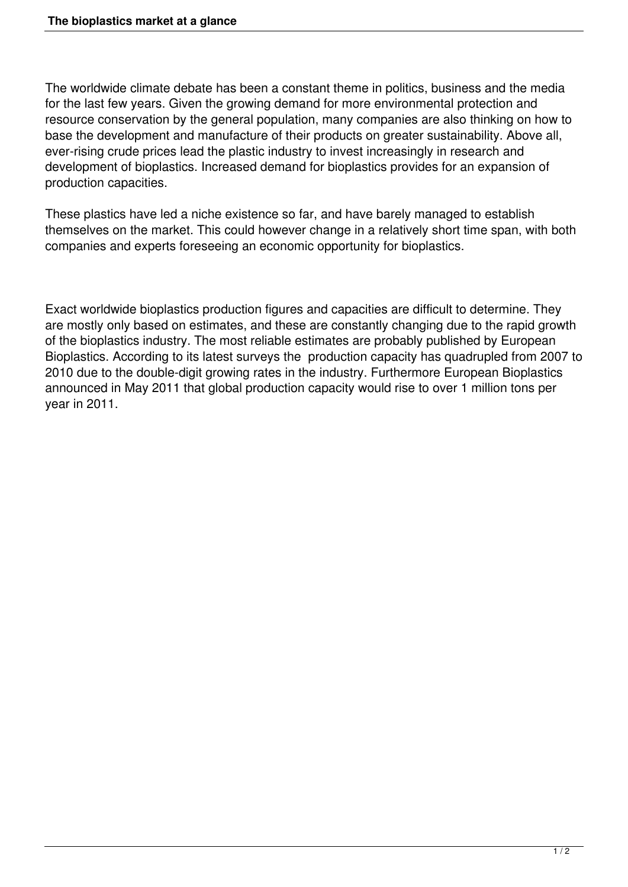The worldwide climate debate has been a constant theme in politics, business and the media for the last few years. Given the growing demand for more environmental protection and resource conservation by the general population, many companies are also thinking on how to base the development and manufacture of their products on greater sustainability. Above all, ever-rising crude prices lead the plastic industry to invest increasingly in research and development of bioplastics. Increased demand for bioplastics provides for an expansion of production capacities.

These plastics have led a niche existence so far, and have barely managed to establish themselves on the market. This could however change in a relatively short time span, with both companies and experts foreseeing an economic opportunity for bioplastics.

Exact worldwide bioplastics production figures and capacities are difficult to determine. They are mostly only based on estimates, and these are constantly changing due to the rapid growth of the bioplastics industry. The most reliable estimates are probably published by European Bioplastics. According to its latest surveys the production capacity has quadrupled from 2007 to 2010 due to the double-digit growing rates in the industry. Furthermore European Bioplastics announced in May 2011 that global production capacity would rise to over 1 million tons per year in 2011.